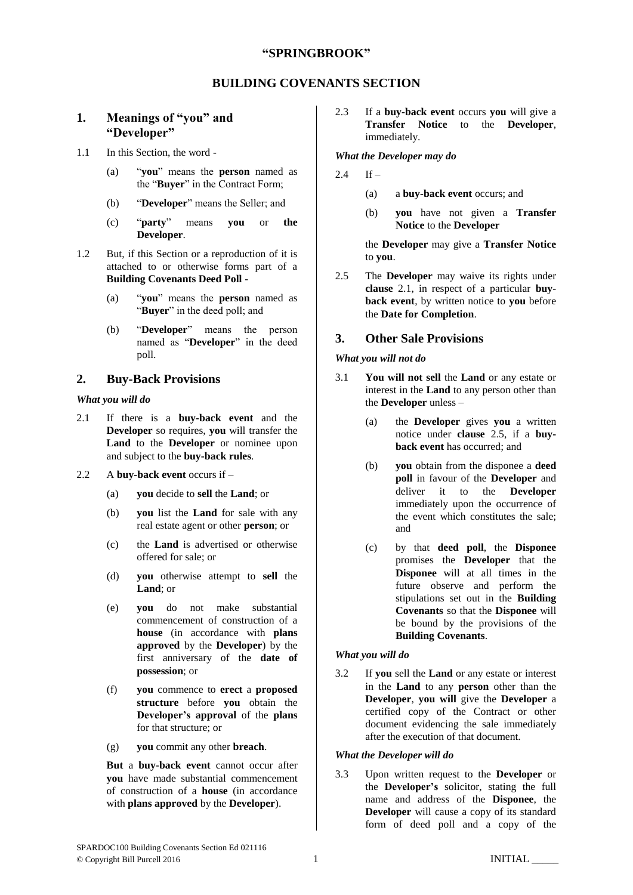## **"SPRINGBROOK"**

## **BUILDING COVENANTS SECTION**

# **1. Meanings of "you" and "Developer"**

- 1.1 In this Section, the word
	- (a) "**you**" means the **person** named as the "**Buyer**" in the Contract Form;
	- (b) "**Developer**" means the Seller; and
	- (c) "**party**" means **you** or **the Developer**.
- 1.2 But, if this Section or a reproduction of it is attached to or otherwise forms part of a **Building Covenants Deed Poll** -
	- (a) "**you**" means the **person** named as "**Buyer**" in the deed poll; and
	- (b) "**Developer**" means the person named as "**Developer**" in the deed poll.

## **2. Buy-Back Provisions**

#### *What you will do*

- <span id="page-0-0"></span>2.1 If there is a **buy-back event** and the **Developer** so requires, **you** will transfer the **Land** to the **Developer** or nominee upon and subject to the **buy-back rules**.
- 2.2 A **buy-back event** occurs if
	- (a) **you** decide to **sell** the **Land**; or
	- (b) **you** list the **Land** for sale with any real estate agent or other **person**; or
	- (c) the **Land** is advertised or otherwise offered for sale; or
	- (d) **you** otherwise attempt to **sell** the **Land**; or
	- (e) **you** do not make substantial commencement of construction of a **house** (in accordance with **plans approved** by the **Developer**) by the first anniversary of the **date of possession**; or
	- (f) **you** commence to **erect** a **proposed structure** before **you** obtain the **Developer's approval** of the **plans** for that structure; or
	- (g) **you** commit any other **breach**.

**But** a **buy-back event** cannot occur after **you** have made substantial commencement of construction of a **house** (in accordance with **plans approved** by the **Developer**).

2.3 If a **buy-back event** occurs **you** will give a **Transfer Notice** to the **Developer**, immediately.

#### *What the Developer may do*

- $2.4$  If
	- (a) a **buy-back event** occurs; and
	- (b) **you** have not given a **Transfer Notice** to the **Developer**

the **Developer** may give a **Transfer Notice** to **you**.

<span id="page-0-1"></span>2.5 The **Developer** may waive its rights under **clause** [2.1,](#page-0-0) in respect of a particular **buyback event**, by written notice to **you** before the **Date for Completion**.

## **3. Other Sale Provisions**

#### *What you will not do*

- <span id="page-0-3"></span><span id="page-0-2"></span>3.1 **You will not sell** the **Land** or any estate or interest in the **Land** to any person other than the **Developer** unless –
	- (a) the **Developer** gives **you** a written notice under **clause** [2.5,](#page-0-1) if a **buyback event** has occurred; and
	- (b) **you** obtain from the disponee a **deed poll** in favour of the **Developer** and deliver it to the **Developer** immediately upon the occurrence of the event which constitutes the sale; and
	- (c) by that **deed poll**, the **Disponee** promises the **Developer** that the **Disponee** will at all times in the future observe and perform the stipulations set out in the **Building Covenants** so that the **Disponee** will be bound by the provisions of the **Building Covenants**.

## *What you will do*

3.2 If **you** sell the **Land** or any estate or interest in the **Land** to any **person** other than the **Developer**, **you will** give the **Developer** a certified copy of the Contract or other document evidencing the sale immediately after the execution of that document.

## *What the Developer will do*

3.3 Upon written request to the **Developer** or the **Developer's** solicitor, stating the full name and address of the **Disponee**, the **Developer** will cause a copy of its standard form of deed poll and a copy of the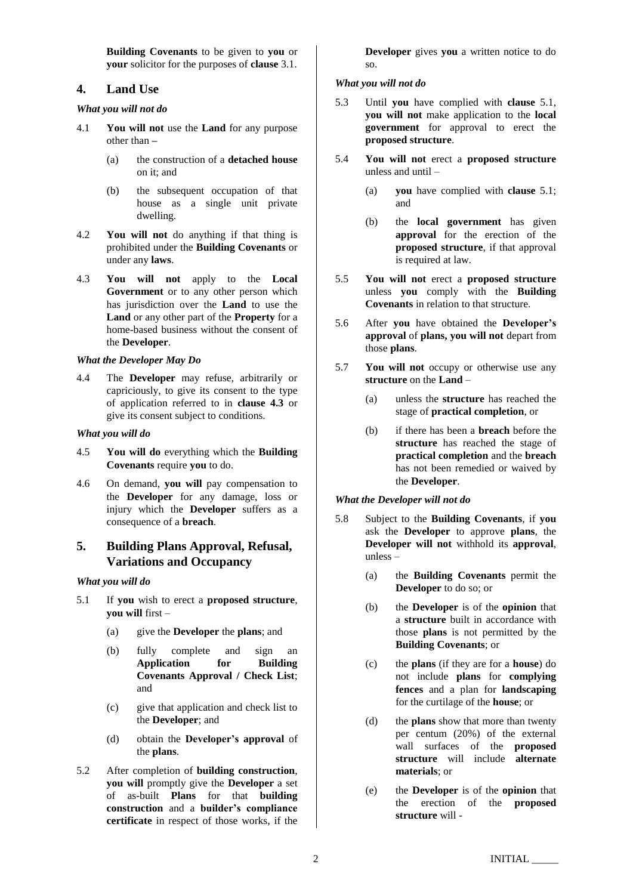**Building Covenants** to be given to **you** or **your** solicitor for the purposes of **clause** [3.1.](#page-0-2)

## **4. Land Use**

## *What you will not do*

- 4.1 **You will not** use the **Land** for any purpose other than **–**
	- (a) the construction of a **detached house** on it; and
	- (b) the subsequent occupation of that house as a single unit private dwelling.
- 4.2 **You will not** do anything if that thing is prohibited under the **Building Covenants** or under any **laws**.
- <span id="page-1-0"></span>4.3 **You will not** apply to the **Local Government** or to any other person which has jurisdiction over the **Land** to use the **Land** or any other part of the **Property** for a home-based business without the consent of the **Developer**.

## *What the Developer May Do*

4.4 The **Developer** may refuse, arbitrarily or capriciously, to give its consent to the type of application referred to in **clause [4.3](#page-1-0)** or give its consent subject to conditions.

#### *What you will do*

- 4.5 **You will do** everything which the **Building Covenants** require **you** to do.
- 4.6 On demand, **you will** pay compensation to the **Developer** for any damage, loss or injury which the **Developer** suffers as a consequence of a **breach**.

# **5. Building Plans Approval, Refusal, Variations and Occupancy**

#### *What you will do*

- <span id="page-1-1"></span>5.1 If **you** wish to erect a **proposed structure**, **you will** first –
	- (a) give the **Developer** the **plans**; and
	- (b) fully complete and sign an **Application for Building Covenants Approval / Check List**; and
	- (c) give that application and check list to the **Developer**; and
	- (d) obtain the **Developer's approval** of the **plans**.
- <span id="page-1-2"></span>5.2 After completion of **building construction**, **you will** promptly give the **Developer** a set of as-built **Plans** for that **building construction** and a **builder's compliance certificate** in respect of those works, if the

**Developer** gives **you** a written notice to do so.

## *What you will not do*

- 5.3 Until **you** have complied with **clause** [5.1,](#page-1-1) **you will not** make application to the **local government** for approval to erect the **proposed structure**.
- 5.4 **You will not** erect a **proposed structure** unless and until –
	- (a) **you** have complied with **clause** [5.1;](#page-1-1) and
	- (b) the **local government** has given **approval** for the erection of the **proposed structure**, if that approval is required at law.
- 5.5 **You will not** erect a **proposed structure**  unless **you** comply with the **Building Covenants** in relation to that structure.
- 5.6 After **you** have obtained the **Developer's approval** of **plans, you will not** depart from those **plans**.
- 5.7 **You will not** occupy or otherwise use any **structure** on the **Land** –
	- (a) unless the **structure** has reached the stage of **practical completion**, or
	- (b) if there has been a **breach** before the **structure** has reached the stage of **practical completion** and the **breach** has not been remedied or waived by the **Developer**.

## *What the Developer will not do*

- 5.8 Subject to the **Building Covenants**, if **you**  ask the **Developer** to approve **plans**, the **Developer will not** withhold its **approval**, unless –
	- (a) the **Building Covenants** permit the **Developer** to do so; or
	- (b) the **Developer** is of the **opinion** that a **structure** built in accordance with those **plans** is not permitted by the **Building Covenants**; or
	- (c) the **plans** (if they are for a **house**) do not include **plans** for **complying fences** and a plan for **landscaping** for the curtilage of the **house**; or
	- (d) the **plans** show that more than twenty per centum (20%) of the external wall surfaces of the **proposed structure** will include **alternate materials**; or
	- (e) the **Developer** is of the **opinion** that the erection of the **proposed structure** will -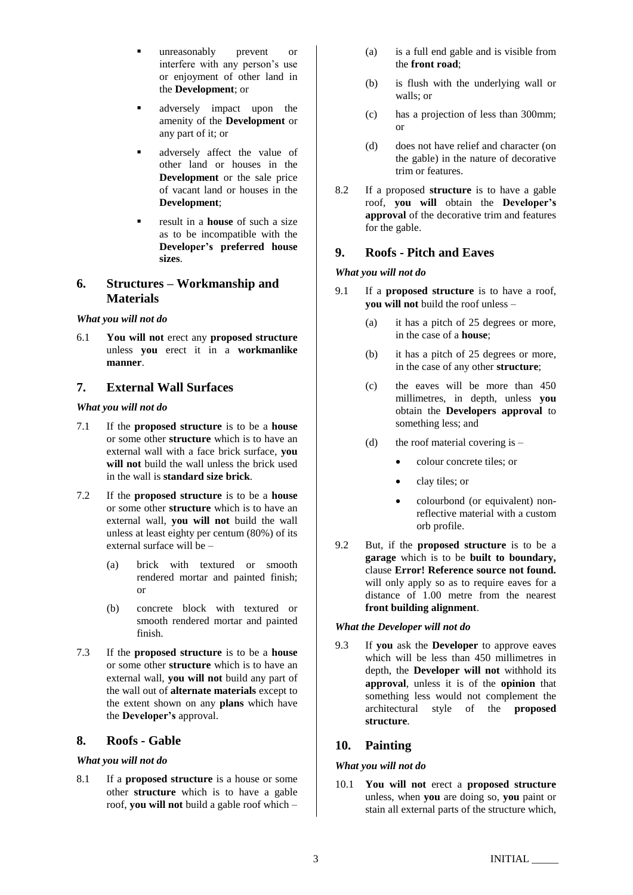- unreasonably prevent or interfere with any person's use or enjoyment of other land in the **Development**; or
- adversely impact upon the amenity of the **Development** or any part of it; or
- adversely affect the value of other land or houses in the **Development** or the sale price of vacant land or houses in the **Development**;
- result in a **house** of such a size as to be incompatible with the **Developer's preferred house sizes**.

# **6. Structures – Workmanship and Materials**

## *What you will not do*

6.1 **You will not** erect any **proposed structure** unless **you** erect it in a **workmanlike manner**.

# **7. External Wall Surfaces**

## *What you will not do*

- 7.1 If the **proposed structure** is to be a **house** or some other **structure** which is to have an external wall with a face brick surface, **you will not** build the wall unless the brick used in the wall is **standard size brick**.
- 7.2 If the **proposed structure** is to be a **house** or some other **structure** which is to have an external wall, **you will not** build the wall unless at least eighty per centum (80%) of its external surface will be –
	- (a) brick with textured or smooth rendered mortar and painted finish; or
	- (b) concrete block with textured or smooth rendered mortar and painted finish.
- 7.3 If the **proposed structure** is to be a **house** or some other **structure** which is to have an external wall, **you will not** build any part of the wall out of **alternate materials** except to the extent shown on any **plans** which have the **Developer's** approval.

# **8. Roofs - Gable**

## *What you will not do*

8.1 If a **proposed structure** is a house or some other **structure** which is to have a gable roof, **you will not** build a gable roof which –

- (a) is a full end gable and is visible from the **front road**;
- (b) is flush with the underlying wall or walls; or
- (c) has a projection of less than 300mm; or
- (d) does not have relief and character (on the gable) in the nature of decorative trim or features.
- 8.2 If a proposed **structure** is to have a gable roof, **you will** obtain the **Developer's approval** of the decorative trim and features for the gable.

# **9. Roofs - Pitch and Eaves**

## *What you will not do*

- 9.1 If a **proposed structure** is to have a roof, **you will not** build the roof unless –
	- (a) it has a pitch of 25 degrees or more, in the case of a **house**;
	- (b) it has a pitch of 25 degrees or more, in the case of any other **structure**;
	- (c) the eaves will be more than 450 millimetres, in depth, unless **you** obtain the **Developers approval** to something less; and
	- (d) the roof material covering is  $-$ 
		- colour concrete tiles; or
		- clay tiles; or
		- colourbond (or equivalent) nonreflective material with a custom orb profile.
- 9.2 But, if the **proposed structure** is to be a **garage** which is to be **built to boundary,** clause **Error! Reference source not found.** will only apply so as to require eaves for a distance of 1.00 metre from the nearest **front building alignment**.

## *What the Developer will not do*

9.3 If **you** ask the **Developer** to approve eaves which will be less than 450 millimetres in depth, the **Developer will not** withhold its **approval**, unless it is of the **opinion** that something less would not complement the architectural style of the **proposed structure**.

# **10. Painting**

## *What you will not do*

10.1 **You will not** erect a **proposed structure** unless, when **you** are doing so, **you** paint or stain all external parts of the structure which,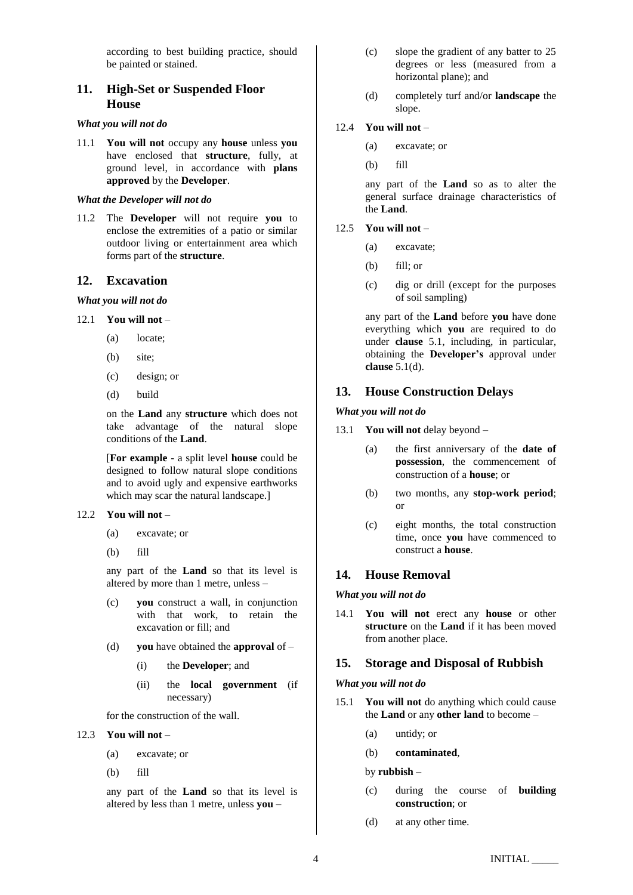according to best building practice, should be painted or stained.

# **11. High-Set or Suspended Floor House**

#### *What you will not do*

11.1 **You will not** occupy any **house** unless **you** have enclosed that **structure**, fully, at ground level, in accordance with **plans approved** by the **Developer**.

#### *What the Developer will not do*

11.2 The **Developer** will not require **you** to enclose the extremities of a patio or similar outdoor living or entertainment area which forms part of the **structure**.

### **12. Excavation**

*What you will not do*

#### 12.1 **You will not** –

- (a) locate;
- (b) site;
- (c) design; or
- (d) build

on the **Land** any **structure** which does not take advantage of the natural slope conditions of the **Land**.

[**For example** - a split level **house** could be designed to follow natural slope conditions and to avoid ugly and expensive earthworks which may scar the natural landscape.]

## 12.2 **You will not –**

- (a) excavate; or
- (b) fill

any part of the **Land** so that its level is altered by more than 1 metre, unless –

- (c) **you** construct a wall, in conjunction with that work, to retain the excavation or fill; and
- (d) **you** have obtained the **approval** of
	- (i) the **Developer**; and
	- (ii) the **local government** (if necessary)

for the construction of the wall.

#### 12.3 **You will not** –

(a) excavate; or

(b) fill

any part of the **Land** so that its level is altered by less than 1 metre, unless **you** –

- (c) slope the gradient of any batter to 25 degrees or less (measured from a horizontal plane); and
- (d) completely turf and/or **landscape** the slope.

#### 12.4 **You will not** –

- (a) excavate; or
- (b) fill

any part of the **Land** so as to alter the general surface drainage characteristics of the **Land**.

## 12.5 **You will not** –

- (a) excavate;
- (b) fill; or
- (c) dig or drill (except for the purposes of soil sampling)

any part of the **Land** before **you** have done everything which **you** are required to do under **clause** [5.1,](#page-1-1) including, in particular, obtaining the **Developer's** approval under **clause** [5.1\(d\).](#page-1-2)

## **13. House Construction Delays**

#### *What you will not do*

- 13.1 **You will not** delay beyond
	- (a) the first anniversary of the **date of possession**, the commencement of construction of a **house**; or
	- (b) two months, any **stop-work period**; or
	- (c) eight months, the total construction time, once **you** have commenced to construct a **house**.

## **14. House Removal**

#### *What you will not do*

14.1 **You will not** erect any **house** or other **structure** on the **Land** if it has been moved from another place.

#### **15. Storage and Disposal of Rubbish**

#### *What you will not do*

- 15.1 **You will not** do anything which could cause the **Land** or any **other land** to become –
	- (a) untidy; or
	- (b) **contaminated**,

by **rubbish** –

- (c) during the course of **building construction**; or
- (d) at any other time.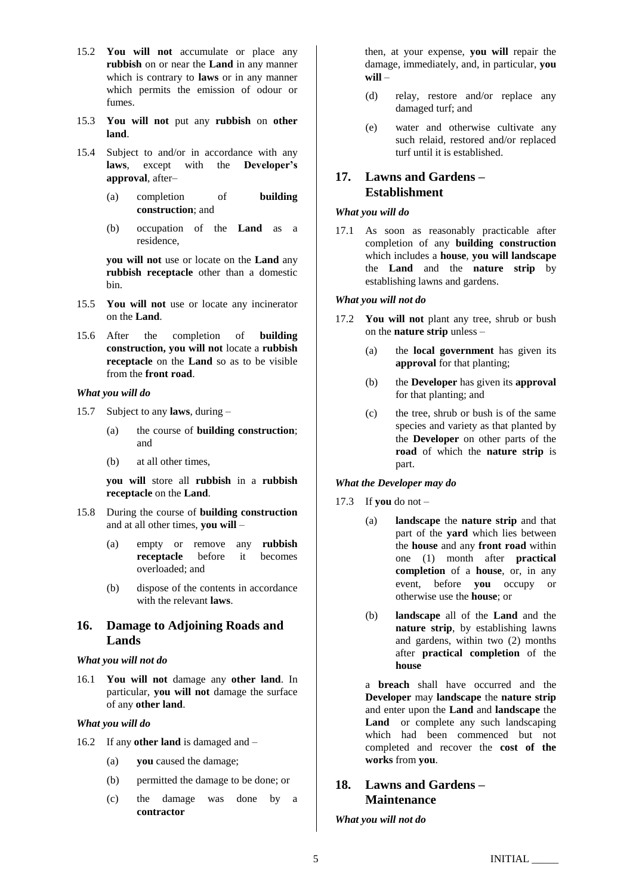- 15.2 **You will not** accumulate or place any **rubbish** on or near the **Land** in any manner which is contrary to **laws** or in any manner which permits the emission of odour or fumes.
- 15.3 **You will not** put any **rubbish** on **other land**.
- 15.4 Subject to and/or in accordance with any **laws**, except with the **Developer's approval**, after–
	- (a) completion of **building construction**; and
	- (b) occupation of the **Land** as a residence,

**you will not** use or locate on the **Land** any **rubbish receptacle** other than a domestic bin.

- 15.5 **You will not** use or locate any incinerator on the **Land**.
- 15.6 After the completion of **building construction, you will not** locate a **rubbish receptacle** on the **Land** so as to be visible from the **front road**.

#### *What you will do*

- 15.7 Subject to any **laws**, during
	- (a) the course of **building construction**; and
	- (b) at all other times,

**you will** store all **rubbish** in a **rubbish receptacle** on the **Land**.

- 15.8 During the course of **building construction** and at all other times, **you will** –
	- (a) empty or remove any **rubbish receptacle** before it becomes overloaded; and
	- (b) dispose of the contents in accordance with the relevant **laws**.

# **16. Damage to Adjoining Roads and Lands**

#### *What you will not do*

16.1 **You will not** damage any **other land**. In particular, **you will not** damage the surface of any **other land**.

### *What you will do*

- 16.2 If any **other land** is damaged and
	- (a) **you** caused the damage;
	- (b) permitted the damage to be done; or
	- (c) the damage was done by a **contractor**

then, at your expense, **you will** repair the damage, immediately, and, in particular, **you will** –

- (d) relay, restore and/or replace any damaged turf; and
- (e) water and otherwise cultivate any such relaid, restored and/or replaced turf until it is established.

# **17. Lawns and Gardens – Establishment**

#### *What you will do*

17.1 As soon as reasonably practicable after completion of any **building construction** which includes a **house**, **you will landscape** the **Land** and the **nature strip** by establishing lawns and gardens.

#### *What you will not do*

- 17.2 **You will not** plant any tree, shrub or bush on the **nature strip** unless –
	- (a) the **local government** has given its **approval** for that planting;
	- (b) the **Developer** has given its **approval**  for that planting; and
	- (c) the tree, shrub or bush is of the same species and variety as that planted by the **Developer** on other parts of the **road** of which the **nature strip** is part.

## *What the Developer may do*

- 17.3 If **you** do not
	- (a) **landscape** the **nature strip** and that part of the **yard** which lies between the **house** and any **front road** within one (1) month after **practical completion** of a **house**, or, in any event, before **you** occupy or otherwise use the **house**; or
	- (b) **landscape** all of the **Land** and the **nature strip**, by establishing lawns and gardens, within two (2) months after **practical completion** of the **house**

a **breach** shall have occurred and the **Developer** may **landscape** the **nature strip** and enter upon the **Land** and **landscape** the Land or complete any such landscaping which had been commenced but not completed and recover the **cost of the works** from **you**.

## **18. Lawns and Gardens – Maintenance**

*What you will not do*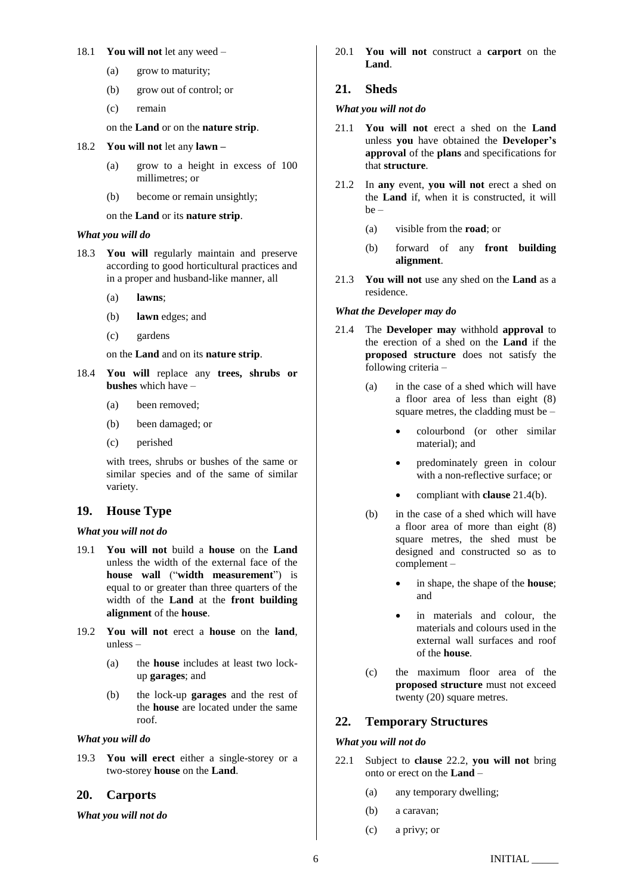#### 18.1 **You will not** let any weed –

- (a) grow to maturity;
- (b) grow out of control; or
- (c) remain
- on the **Land** or on the **nature strip**.
- 18.2 **You will not** let any **lawn –**
	- (a) grow to a height in excess of 100 millimetres; or
	- (b) become or remain unsightly;

on the **Land** or its **nature strip**.

#### *What you will do*

- 18.3 **You will** regularly maintain and preserve according to good horticultural practices and in a proper and husband-like manner, all
	- (a) **lawns**;
	- (b) **lawn** edges; and
	- (c) gardens

on the **Land** and on its **nature strip**.

- 18.4 **You will** replace any **trees, shrubs or bushes** which have –
	- (a) been removed;
	- (b) been damaged; or
	- (c) perished

with trees, shrubs or bushes of the same or similar species and of the same of similar variety.

## **19. House Type**

## *What you will not do*

- <span id="page-5-1"></span>19.1 **You will not** build a **house** on the **Land** unless the width of the external face of the **house wall** ("**width measurement**") is equal to or greater than three quarters of the width of the **Land** at the **front building alignment** of the **house**.
- 19.2 **You will not** erect a **house** on the **land**, unless –
	- (a) the **house** includes at least two lockup **garages**; and
	- (b) the lock-up **garages** and the rest of the **house** are located under the same roof.

## *What you will do*

19.3 **You will erect** either a single-storey or a two-storey **house** on the **Land**.

## **20. Carports**

*What you will not do*

20.1 **You will not** construct a **carport** on the **Land**.

## **21. Sheds**

## *What you will not do*

- 21.1 **You will not** erect a shed on the **Land**  unless **you** have obtained the **Developer's approval** of the **plans** and specifications for that **structure**.
- 21.2 In **any** event, **you will not** erect a shed on the **Land** if, when it is constructed, it will be –
	- (a) visible from the **road**; or
	- (b) forward of any **front building alignment**.
- 21.3 **You will not** use any shed on the **Land** as a residence.

## *What the Developer may do*

- <span id="page-5-0"></span>21.4 The **Developer may** withhold **approval** to the erection of a shed on the **Land** if the **proposed structure** does not satisfy the following criteria –
	- (a) in the case of a shed which will have a floor area of less than eight (8) square metres, the cladding must be –
		- colourbond (or other similar material); and
		- predominately green in colour with a non-reflective surface; or
		- compliant with **clause** [21.4\(b\).](#page-5-0)
	- (b) in the case of a shed which will have a floor area of more than eight (8) square metres, the shed must be designed and constructed so as to complement –
		- in shape, the shape of the **house**; and
		- in materials and colour, the materials and colours used in the external wall surfaces and roof of the **house**.
	- (c) the maximum floor area of the **proposed structure** must not exceed twenty (20) square metres.

## **22. Temporary Structures**

## *What you will not do*

- 22.1 Subject to **clause** [22.2,](#page-6-0) **you will not** bring onto or erect on the **Land** –
	- (a) any temporary dwelling;
	- (b) a caravan;
	- (c) a privy; or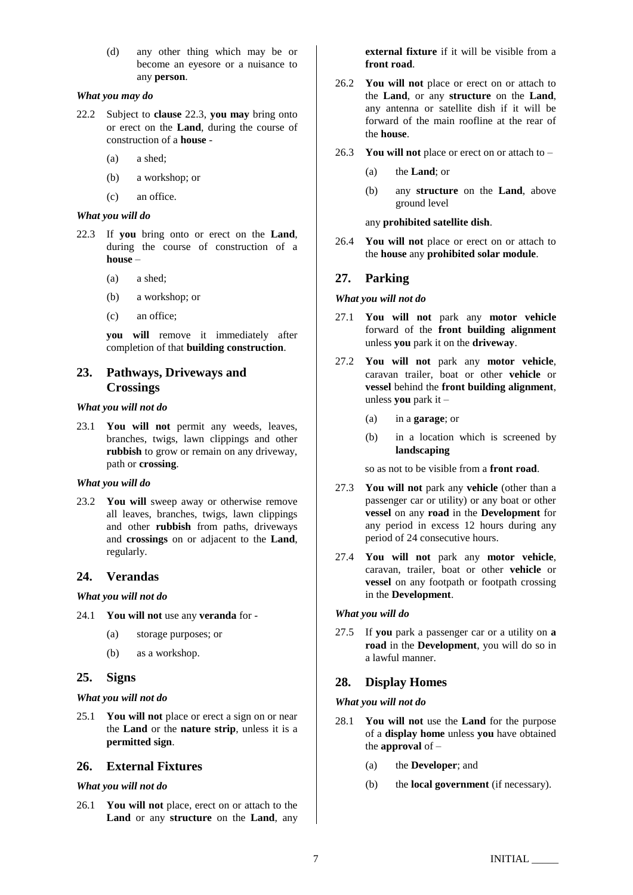(d) any other thing which may be or become an eyesore or a nuisance to any **person**.

#### *What you may do*

- <span id="page-6-0"></span>22.2 Subject to **clause** [22.3,](#page-6-1) **you may** bring onto or erect on the **Land**, during the course of construction of a **house** -
	- (a) a shed;
	- (b) a workshop; or
	- (c) an office.

## *What you will do*

- <span id="page-6-1"></span>22.3 If **you** bring onto or erect on the **Land**, during the course of construction of a **house** –
	- (a) a shed;
	- (b) a workshop; or
	- (c) an office;

**you will** remove it immediately after completion of that **building construction**.

## **23. Pathways, Driveways and Crossings**

#### *What you will not do*

23.1 **You will not** permit any weeds, leaves, branches, twigs, lawn clippings and other **rubbish** to grow or remain on any driveway, path or **crossing**.

#### *What you will do*

23.2 **You will** sweep away or otherwise remove all leaves, branches, twigs, lawn clippings and other **rubbish** from paths, driveways and **crossings** on or adjacent to the **Land**, regularly.

# **24. Verandas**

*What you will not do*

- 24.1 **You will not** use any **veranda** for
	- (a) storage purposes; or
	- (b) as a workshop.

## **25. Signs**

## *What you will not do*

25.1 **You will not** place or erect a sign on or near the **Land** or the **nature strip**, unless it is a **permitted sign**.

## **26. External Fixtures**

## *What you will not do*

26.1 **You will not** place, erect on or attach to the **Land** or any **structure** on the **Land**, any **external fixture** if it will be visible from a **front road**.

- 26.2 **You will not** place or erect on or attach to the **Land**, or any **structure** on the **Land**, any antenna or satellite dish if it will be forward of the main roofline at the rear of the **house**.
- 26.3 **You will not** place or erect on or attach to
	- (a) the **Land**; or
	- (b) any **structure** on the **Land**, above ground level

any **prohibited satellite dish**.

26.4 **You will not** place or erect on or attach to the **house** any **prohibited solar module**.

## **27. Parking**

#### *What you will not do*

- 27.1 **You will not** park any **motor vehicle** forward of the **front building alignment**  unless **you** park it on the **driveway**.
- 27.2 **You will not** park any **motor vehicle**, caravan trailer, boat or other **vehicle** or **vessel** behind the **front building alignment**, unless **you** park it –
	- (a) in a **garage**; or
	- (b) in a location which is screened by **landscaping**

so as not to be visible from a **front road**.

- <span id="page-6-2"></span>27.3 **You will not** park any **vehicle** (other than a passenger car or utility) or any boat or other **vessel** on any **road** in the **Development** for any period in excess 12 hours during any period of 24 consecutive hours.
- <span id="page-6-3"></span>27.4 **You will not** park any **motor vehicle**, caravan, trailer, boat or other **vehicle** or **vessel** on any footpath or footpath crossing in the **Development**.

#### *What you will do*

27.5 If **you** park a passenger car or a utility on **a road** in the **Development**, you will do so in a lawful manner.

## **28. Display Homes**

## *What you will not do*

- 28.1 **You will not** use the **Land** for the purpose of a **display home** unless **you** have obtained the **approval** of –
	- (a) the **Developer**; and
	- (b) the **local government** (if necessary).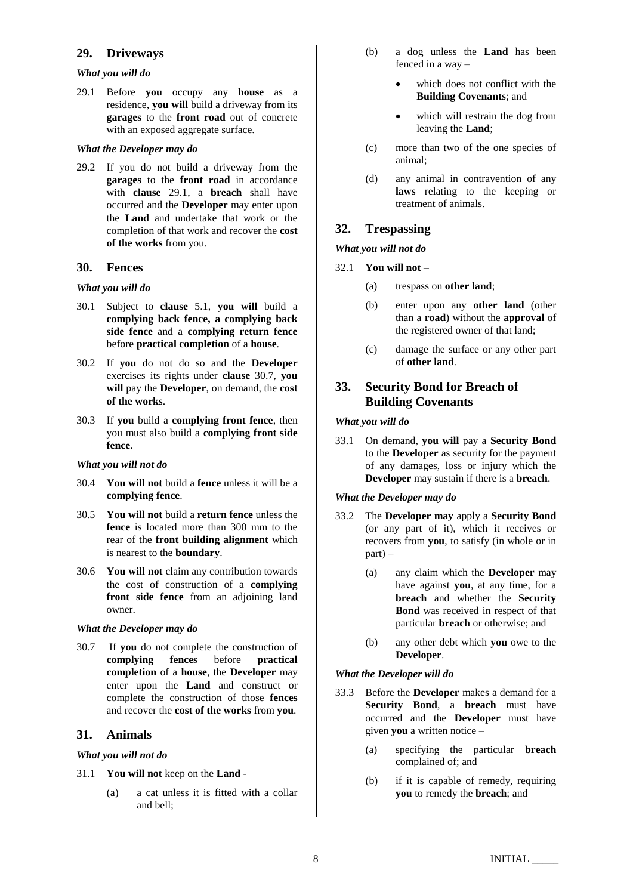## **29. Driveways**

#### *What you will do*

<span id="page-7-0"></span>29.1 Before **you** occupy any **house** as a residence, **you will** build a driveway from its **garages** to the **front road** out of concrete with an exposed aggregate surface.

## *What the Developer may do*

29.2 If you do not build a driveway from the **garages** to the **front road** in accordance with **clause** [29.1,](#page-7-0) a **breach** shall have occurred and the **Developer** may enter upon the **Land** and undertake that work or the completion of that work and recover the **cost of the works** from you.

## **30. Fences**

## *What you will do*

- 30.1 Subject to **clause** [5.1,](#page-1-1) **you will** build a **complying back fence, a complying back side fence** and a **complying return fence**  before **practical completion** of a **house**.
- 30.2 If **you** do not do so and the **Developer** exercises its rights under **clause** [30.7,](#page-7-1) **you will** pay the **Developer**, on demand, the **cost of the works**.
- 30.3 If **you** build a **complying front fence**, then you must also build a **complying front side fence**.

## *What you will not do*

- 30.4 **You will not** build a **fence** unless it will be a **complying fence**.
- 30.5 **You will not** build a **return fence** unless the **fence** is located more than 300 mm to the rear of the **front building alignment** which is nearest to the **boundary**.
- 30.6 **You will not** claim any contribution towards the cost of construction of a **complying front side fence** from an adjoining land owner.

## *What the Developer may do*

<span id="page-7-1"></span>30.7 If **you** do not complete the construction of **complying fences** before **practical completion** of a **house**, the **Developer** may enter upon the **Land** and construct or complete the construction of those **fences** and recover the **cost of the works** from **you**.

## **31. Animals**

## *What you will not do*

- 31.1 **You will not** keep on the **Land**
	- (a) a cat unless it is fitted with a collar and bell;
- (b) a dog unless the **Land** has been fenced in a way –
	- which does not conflict with the **Building Covenants**; and
	- which will restrain the dog from leaving the **Land**;
- (c) more than two of the one species of animal;
- (d) any animal in contravention of any **laws** relating to the keeping or treatment of animals.

# **32. Trespassing**

#### *What you will not do*

- 32.1 **You will not**
	- (a) trespass on **other land**;
	- (b) enter upon any **other land** (other than a **road**) without the **approval** of the registered owner of that land;
	- (c) damage the surface or any other part of **other land**.

# <span id="page-7-4"></span>**33. Security Bond for Breach of Building Covenants**

#### *What you will do*

33.1 On demand, **you will** pay a **Security Bond**  to the **Developer** as security for the payment of any damages, loss or injury which the **Developer** may sustain if there is a **breach**.

## *What the Developer may do*

- <span id="page-7-3"></span>33.2 The **Developer may** apply a **Security Bond**  (or any part of it), which it receives or recovers from **you**, to satisfy (in whole or in part) –
	- (a) any claim which the **Developer** may have against **you**, at any time, for a **breach** and whether the **Security Bond** was received in respect of that particular **breach** or otherwise; and
	- (b) any other debt which **you** owe to the **Developer**.

## *What the Developer will do*

- <span id="page-7-2"></span>33.3 Before the **Developer** makes a demand for a **Security Bond**, a **breach** must have occurred and the **Developer** must have given **you** a written notice –
	- (a) specifying the particular **breach** complained of; and
	- (b) if it is capable of remedy, requiring **you** to remedy the **breach**; and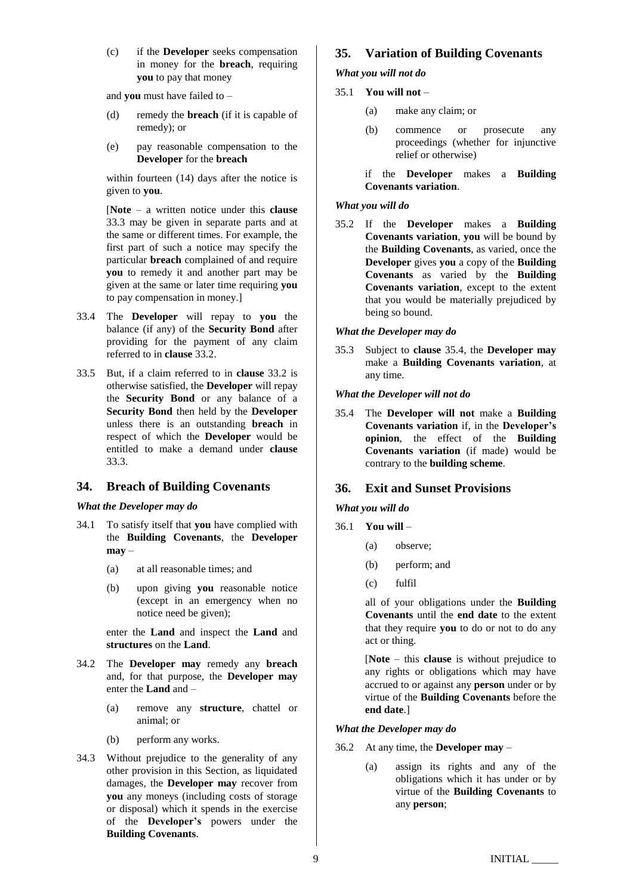(c) if the **Developer** seeks compensation in money for the **breach**, requiring **you** to pay that money

and **you** must have failed to –

- (d) remedy the **breach** (if it is capable of remedy); or
- (e) pay reasonable compensation to the **Developer** for the **breach**

within fourteen (14) days after the notice is given to **you**.

[**Note** – a written notice under this **clause** [33.3](#page-7-2) may be given in separate parts and at the same or different times. For example, the first part of such a notice may specify the particular **breach** complained of and require **you** to remedy it and another part may be given at the same or later time requiring **you** to pay compensation in money.]

- 33.4 The **Developer** will repay to **you** the balance (if any) of the **Security Bond** after providing for the payment of any claim referred to in **clause** [33.2.](#page-7-3)
- 33.5 But, if a claim referred to in **clause** [33.2](#page-7-3) is otherwise satisfied, the **Developer** will repay the **Security Bond** or any balance of a **Security Bond** then held by the **Developer** unless there is an outstanding **breach** in respect of which the **Developer** would be entitled to make a demand under **clause** [33.3.](#page-7-2)

# **34. Breach of Building Covenants**

## *What the Developer may do*

- 34.1 To satisfy itself that **you** have complied with the **Building Covenants**, the **Developer may** –
	- (a) at all reasonable times; and
	- (b) upon giving **you** reasonable notice (except in an emergency when no notice need be given);

enter the **Land** and inspect the **Land** and **structures** on the **Land**.

- 34.2 The **Developer may** remedy any **breach** and, for that purpose, the **Developer may** enter the **Land** and –
	- (a) remove any **structure**, chattel or animal; or
	- (b) perform any works.
- 34.3 Without prejudice to the generality of any other provision in this Section, as liquidated damages, the **Developer may** recover from **you** any moneys (including costs of storage or disposal) which it spends in the exercise of the **Developer's** powers under the **Building Covenants**.

# **35. Variation of Building Covenants**

## *What you will not do*

## 35.1 **You will not** –

- (a) make any claim; or
- (b) commence or prosecute any proceedings (whether for injunctive relief or otherwise)
- if the **Developer** makes a **Building Covenants variation**.

## *What you will do*

35.2 If the **Developer** makes a **Building Covenants variation**, **you** will be bound by the **Building Covenants**, as varied, once the **Developer** gives **you** a copy of the **Building Covenants** as varied by the **Building Covenants variation**, except to the extent that you would be materially prejudiced by being so bound.

## *What the Developer may do*

35.3 Subject to **clause** [35.4,](#page-8-0) the **Developer may**  make a **Building Covenants variation**, at any time.

## *What the Developer will not do*

<span id="page-8-0"></span>35.4 The **Developer will not** make a **Building Covenants variation** if, in the **Developer's opinion**, the effect of the **Building Covenants variation** (if made) would be contrary to the **building scheme**.

# **36. Exit and Sunset Provisions**

## *What you will do*

- 36.1 **You will**
	- (a) observe;
	- (b) perform; and
	- (c) fulfil

all of your obligations under the **Building Covenants** until the **end date** to the extent that they require **you** to do or not to do any act or thing.

[**Note** – this **clause** is without prejudice to any rights or obligations which may have accrued to or against any **person** under or by virtue of the **Building Covenants** before the **end date**.]

## *What the Developer may do*

- <span id="page-8-1"></span>36.2 At any time, the **Developer may** –
	- (a) assign its rights and any of the obligations which it has under or by virtue of the **Building Covenants** to any **person**;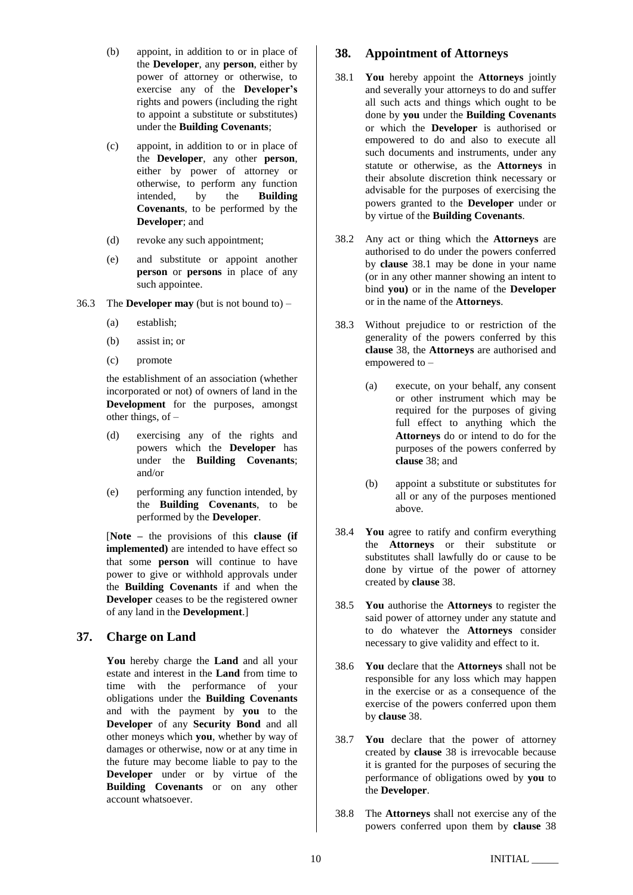- (b) appoint, in addition to or in place of the **Developer**, any **person**, either by power of attorney or otherwise, to exercise any of the **Developer's** rights and powers (including the right to appoint a substitute or substitutes) under the **Building Covenants**;
- (c) appoint, in addition to or in place of the **Developer**, any other **person**, either by power of attorney or otherwise, to perform any function intended, by the **Building Covenants**, to be performed by the **Developer**; and
- (d) revoke any such appointment;
- (e) and substitute or appoint another **person** or **persons** in place of any such appointee.
- 36.3 The **Developer may** (but is not bound to)
	- (a) establish;
	- (b) assist in; or
	- (c) promote

the establishment of an association (whether incorporated or not) of owners of land in the **Development** for the purposes, amongst other things, of –

- (d) exercising any of the rights and powers which the **Developer** has under the **Building Covenants**; and/or
- (e) performing any function intended, by the **Building Covenants**, to be performed by the **Developer**.

[**Note –** the provisions of this **clause (if implemented)** are intended to have effect so that some **person** will continue to have power to give or withhold approvals under the **Building Covenants** if and when the **Developer** ceases to be the registered owner of any land in the **Development**.]

## **37. Charge on Land**

**You** hereby charge the **Land** and all your estate and interest in the **Land** from time to time with the performance of your obligations under the **Building Covenants** and with the payment by **you** to the **Developer** of any **Security Bond** and all other moneys which **you**, whether by way of damages or otherwise, now or at any time in the future may become liable to pay to the **Developer** under or by virtue of the **Building Covenants** or on any other account whatsoever.

## <span id="page-9-1"></span>**38. Appointment of Attorneys**

- <span id="page-9-0"></span>38.1 **You** hereby appoint the **Attorneys** jointly and severally your attorneys to do and suffer all such acts and things which ought to be done by **you** under the **Building Covenants** or which the **Developer** is authorised or empowered to do and also to execute all such documents and instruments, under any statute or otherwise, as the **Attorneys** in their absolute discretion think necessary or advisable for the purposes of exercising the powers granted to the **Developer** under or by virtue of the **Building Covenants**.
- 38.2 Any act or thing which the **Attorneys** are authorised to do under the powers conferred by **clause** [38.1](#page-9-0) may be done in your name (or in any other manner showing an intent to bind **you)** or in the name of the **Developer** or in the name of the **Attorneys**.
- 38.3 Without prejudice to or restriction of the generality of the powers conferred by this **clause** [38,](#page-9-1) the **Attorneys** are authorised and empowered to –
	- (a) execute, on your behalf, any consent or other instrument which may be required for the purposes of giving full effect to anything which the **Attorneys** do or intend to do for the purposes of the powers conferred by **clause** [38;](#page-9-1) and
	- (b) appoint a substitute or substitutes for all or any of the purposes mentioned above.
- 38.4 **You** agree to ratify and confirm everything the **Attorneys** or their substitute or substitutes shall lawfully do or cause to be done by virtue of the power of attorney created by **clause** [38.](#page-9-1)
- 38.5 **You** authorise the **Attorneys** to register the said power of attorney under any statute and to do whatever the **Attorneys** consider necessary to give validity and effect to it.
- 38.6 **You** declare that the **Attorneys** shall not be responsible for any loss which may happen in the exercise or as a consequence of the exercise of the powers conferred upon them by **clause** [38.](#page-9-1)
- 38.7 **You** declare that the power of attorney created by **clause** [38](#page-9-1) is irrevocable because it is granted for the purposes of securing the performance of obligations owed by **you** to the **Developer**.
- 38.8 The **Attorneys** shall not exercise any of the powers conferred upon them by **clause** [38](#page-9-1)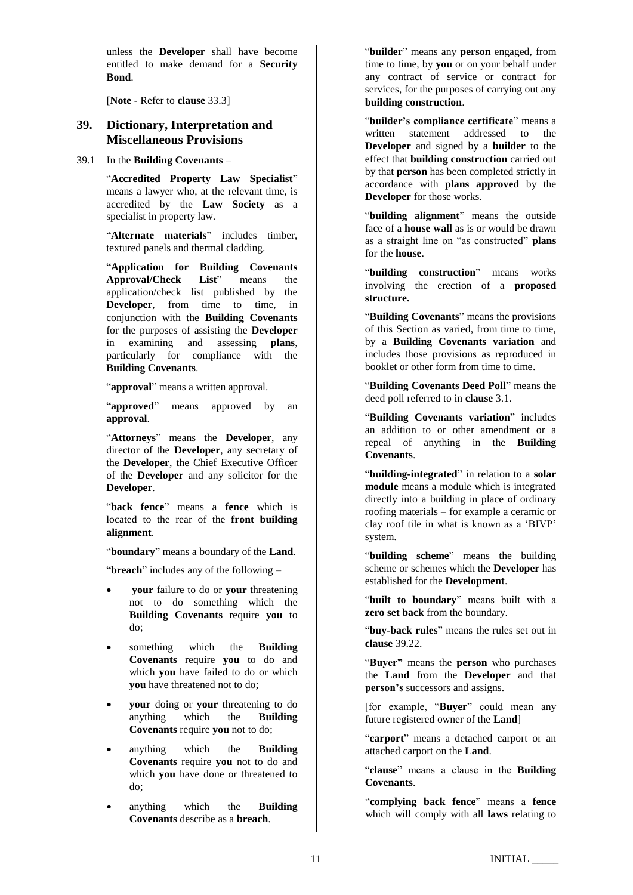unless the **Developer** shall have become entitled to make demand for a **Security Bond**.

[**Note -** Refer to **clause** [33.3\]](#page-7-2)

# **39. Dictionary, Interpretation and Miscellaneous Provisions**

#### <span id="page-10-0"></span>39.1 In the **Building Covenants** –

"**Accredited Property Law Specialist**" means a lawyer who, at the relevant time, is accredited by the **Law Society** as a specialist in property law.

"**Alternate materials**" includes timber, textured panels and thermal cladding.

"**Application for Building Covenants Approval/Check List**" means the application/check list published by the **Developer**, from time to time, in conjunction with the **Building Covenants** for the purposes of assisting the **Developer** in examining and assessing **plans**, particularly for compliance with the **Building Covenants**.

"**approval**" means a written approval.

"**approved**" means approved by an **approval**.

"**Attorneys**" means the **Developer**, any director of the **Developer**, any secretary of the **Developer**, the Chief Executive Officer of the **Developer** and any solicitor for the **Developer**.

"**back fence**" means a **fence** which is located to the rear of the **front building alignment**.

"**boundary**" means a boundary of the **Land**.

"**breach**" includes any of the following –

- **your** failure to do or **your** threatening not to do something which the **Building Covenants** require **you** to do;
- something which the **Building Covenants** require **you** to do and which **you** have failed to do or which **you** have threatened not to do;
- **your** doing or **your** threatening to do anything which the **Building** anything which the **Building Covenants** require **you** not to do;
- anything which the **Building Covenants** require **you** not to do and which **you** have done or threatened to do;
- anything which the **Building Covenants** describe as a **breach**.

"**builder**" means any **person** engaged, from time to time, by **you** or on your behalf under any contract of service or contract for services, for the purposes of carrying out any **building construction**.

"**builder's compliance certificate**" means a written statement addressed to the **Developer** and signed by a **builder** to the effect that **building construction** carried out by that **person** has been completed strictly in accordance with **plans approved** by the **Developer** for those works.

"**building alignment**" means the outside face of a **house wall** as is or would be drawn as a straight line on "as constructed" **plans** for the **house**.

"**building construction**" means works involving the erection of a **proposed structure.**

"**Building Covenants**" means the provisions of this Section as varied, from time to time, by a **Building Covenants variation** and includes those provisions as reproduced in booklet or other form from time to time.

"**Building Covenants Deed Poll**" means the deed poll referred to in **clause** [3.1.](#page-0-2)

"**Building Covenants variation**" includes an addition to or other amendment or a repeal of anything in the **Building Covenants**.

"**building-integrated**" in relation to a **solar module** means a module which is integrated directly into a building in place of ordinary roofing materials – for example a ceramic or clay roof tile in what is known as a 'BIVP' system.

"**building scheme**" means the building scheme or schemes which the **Developer** has established for the **Development**.

"**built to boundary**" means built with a **zero set back** from the boundary.

"**buy-back rules**" means the rules set out in **clause** [39.22.](#page-15-0)

"**Buyer"** means the **person** who purchases the **Land** from the **Developer** and that **person's** successors and assigns.

[for example, "**Buyer**" could mean any future registered owner of the **Land**]

"**carport**" means a detached carport or an attached carport on the **Land**.

"**clause**" means a clause in the **Building Covenants**.

"**complying back fence**" means a **fence** which will comply with all **laws** relating to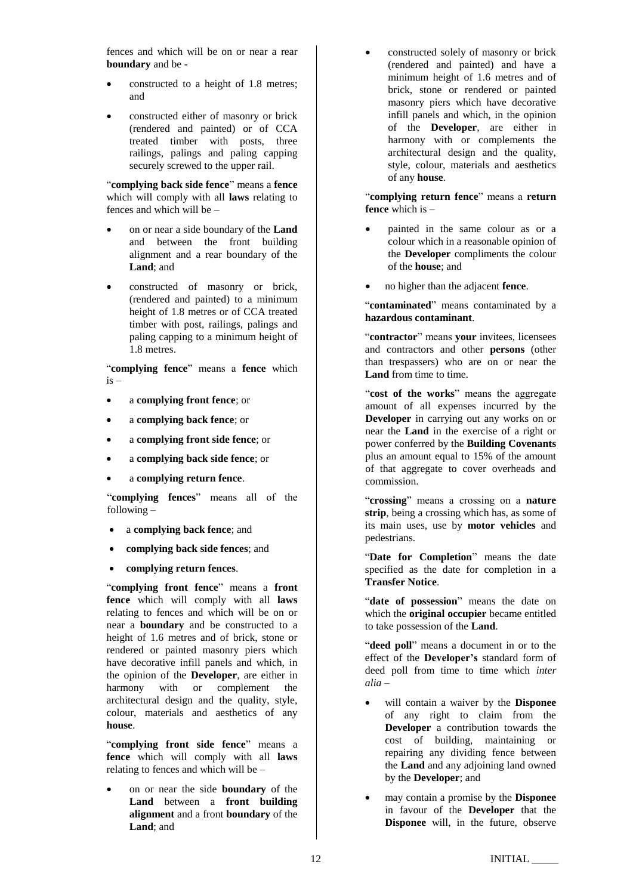fences and which will be on or near a rear **boundary** and be -

- constructed to a height of 1.8 metres; and
- constructed either of masonry or brick (rendered and painted) or of CCA treated timber with posts, three railings, palings and paling capping securely screwed to the upper rail.

"**complying back side fence**" means a **fence**  which will comply with all **laws** relating to fences and which will be –

- on or near a side boundary of the **Land** and between the front building alignment and a rear boundary of the **Land**; and
- constructed of masonry or brick, (rendered and painted) to a minimum height of 1.8 metres or of CCA treated timber with post, railings, palings and paling capping to a minimum height of 1.8 metres.

"**complying fence**" means a **fence** which is –

- a **complying front fence**; or
- a **complying back fence**; or
- a **complying front side fence**; or
- a **complying back side fence**; or
- a **complying return fence**.

"**complying fences**" means all of the following –

- a **complying back fence**; and
- **complying back side fences**; and
- **complying return fences**.

"**complying front fence**" means a **front fence** which will comply with all **laws** relating to fences and which will be on or near a **boundary** and be constructed to a height of 1.6 metres and of brick, stone or rendered or painted masonry piers which have decorative infill panels and which, in the opinion of the **Developer**, are either in harmony with or complement the architectural design and the quality, style, colour, materials and aesthetics of any **house**.

"**complying front side fence**" means a **fence** which will comply with all **laws** relating to fences and which will be –

• on or near the side **boundary** of the **Land** between a **front building alignment** and a front **boundary** of the **Land**; and

• constructed solely of masonry or brick (rendered and painted) and have a minimum height of 1.6 metres and of brick, stone or rendered or painted masonry piers which have decorative infill panels and which, in the opinion of the **Developer**, are either in harmony with or complements the architectural design and the quality, style, colour, materials and aesthetics of any **house**.

"**complying return fence**" means a **return fence** which is –

- painted in the same colour as or a colour which in a reasonable opinion of the **Developer** compliments the colour of the **house**; and
- no higher than the adjacent **fence**.

"**contaminated**" means contaminated by a **hazardous contaminant**.

"**contractor**" means **your** invitees, licensees and contractors and other **persons** (other than trespassers) who are on or near the **Land** from time to time.

"**cost of the works**" means the aggregate amount of all expenses incurred by the **Developer** in carrying out any works on or near the **Land** in the exercise of a right or power conferred by the **Building Covenants** plus an amount equal to 15% of the amount of that aggregate to cover overheads and commission.

"**crossing**" means a crossing on a **nature strip**, being a crossing which has, as some of its main uses, use by **motor vehicles** and pedestrians.

"**Date for Completion**" means the date specified as the date for completion in a **Transfer Notice**.

"date of possession" means the date on which the **original occupier** became entitled to take possession of the **Land**.

"**deed poll**" means a document in or to the effect of the **Developer's** standard form of deed poll from time to time which *inter alia* –

- will contain a waiver by the **Disponee** of any right to claim from the **Developer** a contribution towards the cost of building, maintaining or repairing any dividing fence between the **Land** and any adjoining land owned by the **Developer**; and
- may contain a promise by the **Disponee**  in favour of the **Developer** that the **Disponee** will, in the future, observe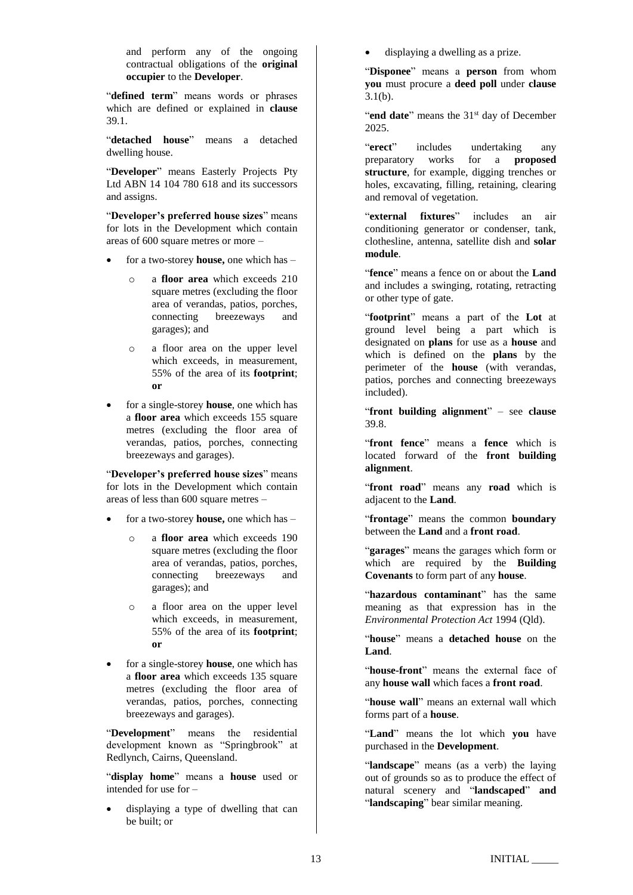and perform any of the ongoing contractual obligations of the **original occupier** to the **Developer**.

"**defined term**" means words or phrases which are defined or explained in **clause** [39.1.](#page-10-0)

"**detached house**" means a detached dwelling house.

"**Developer**" means Easterly Projects Pty Ltd ABN 14 104 780 618 and its successors and assigns.

"**Developer's preferred house sizes**" means for lots in the Development which contain areas of 600 square metres or more –

- for a two-storey **house,** one which has
	- o a **floor area** which exceeds 210 square metres (excluding the floor area of verandas, patios, porches, connecting breezeways and garages); and
	- o a floor area on the upper level which exceeds, in measurement, 55% of the area of its **footprint**; **or**
- for a single-storey **house**, one which has a **floor area** which exceeds 155 square metres (excluding the floor area of verandas, patios, porches, connecting breezeways and garages).

"**Developer's preferred house sizes**" means for lots in the Development which contain areas of less than 600 square metres –

- for a two-storey **house,** one which has
	- o a **floor area** which exceeds 190 square metres (excluding the floor area of verandas, patios, porches, connecting breezeways and garages); and
	- o a floor area on the upper level which exceeds, in measurement, 55% of the area of its **footprint**; **or**
- for a single-storey **house**, one which has a **floor area** which exceeds 135 square metres (excluding the floor area of verandas, patios, porches, connecting breezeways and garages).

"**Development**" means the residential development known as "Springbrook" at Redlynch, Cairns, Queensland.

"**display home**" means a **house** used or intended for use for –

• displaying a type of dwelling that can be built; or

displaying a dwelling as a prize.

"**Disponee**" means a **person** from whom **you** must procure a **deed poll** under **clause**   $3.1(b)$ .

"**end date**" means the 31<sup>st</sup> day of December 2025.

"**erect**" includes undertaking any preparatory works for a **proposed structure**, for example, digging trenches or holes, excavating, filling, retaining, clearing and removal of vegetation.

"**external fixtures**" includes an air conditioning generator or condenser, tank, clothesline, antenna, satellite dish and **solar module**.

"**fence**" means a fence on or about the **Land** and includes a swinging, rotating, retracting or other type of gate.

"**footprint**" means a part of the **Lot** at ground level being a part which is designated on **plans** for use as a **house** and which is defined on the **plans** by the perimeter of the **house** (with verandas, patios, porches and connecting breezeways included).

"**front building alignment**" – see **clause** [39.8.](#page-14-0)

"**front fence**" means a **fence** which is located forward of the **front building alignment**.

"**front road**" means any **road** which is adjacent to the **Land**.

"**frontage**" means the common **boundary** between the **Land** and a **front road**.

"**garages**" means the garages which form or which are required by the **Building Covenants** to form part of any **house**.

"**hazardous contaminant**" has the same meaning as that expression has in the *Environmental Protection Act* 1994 (Qld).

"**house**" means a **detached house** on the **Land**.

"**house-front**" means the external face of any **house wall** which faces a **front road**.

"house wall" means an external wall which forms part of a **house**.

"**Land**" means the lot which **you** have purchased in the **Development**.

"**landscape**" means (as a verb) the laying out of grounds so as to produce the effect of natural scenery and "**landscaped**" **and**  "**landscaping**" bear similar meaning.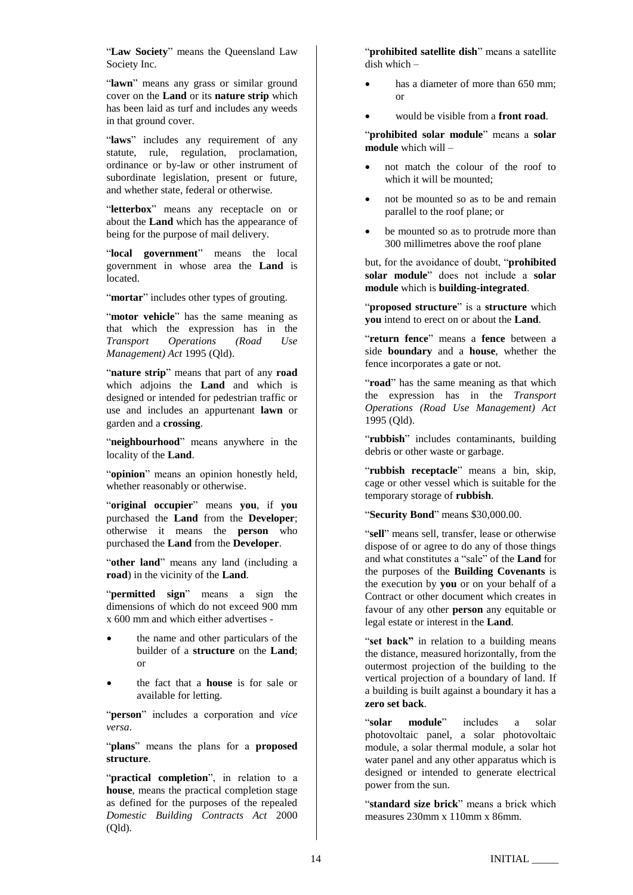"**Law Society**" means the Queensland Law Society Inc.

"**lawn**" means any grass or similar ground cover on the **Land** or its **nature strip** which has been laid as turf and includes any weeds in that ground cover.

"**laws**" includes any requirement of any statute, rule, regulation, proclamation, ordinance or by-law or other instrument of subordinate legislation, present or future, and whether state, federal or otherwise.

"**letterbox**" means any receptacle on or about the **Land** which has the appearance of being for the purpose of mail delivery.

"**local government**" means the local government in whose area the **Land** is located.

"**mortar**" includes other types of grouting.

"motor vehicle" has the same meaning as that which the expression has in the<br> *Transport Operations (Road Use Transport Operations (Road Use Management) Act* 1995 (Qld).

"**nature strip**" means that part of any **road**  which adjoins the **Land** and which is designed or intended for pedestrian traffic or use and includes an appurtenant **lawn** or garden and a **crossing**.

"**neighbourhood**" means anywhere in the locality of the **Land**.

"**opinion**" means an opinion honestly held, whether reasonably or otherwise.

"**original occupier**" means **you**, if **you**  purchased the **Land** from the **Developer**; otherwise it means the **person** who purchased the **Land** from the **Developer**.

"**other land**" means any land (including a **road**) in the vicinity of the **Land**.

"**permitted sign**" means a sign the dimensions of which do not exceed 900 mm x 600 mm and which either advertises -

- the name and other particulars of the builder of a **structure** on the **Land**; or
- the fact that a **house** is for sale or available for letting.

"**person**" includes a corporation and *vice versa*.

"**plans**" means the plans for a **proposed structure**.

"**practical completion**", in relation to a **house**, means the practical completion stage as defined for the purposes of the repealed *Domestic Building Contracts Act* 2000 (Qld)*.*

"**prohibited satellite dish**" means a satellite dish which –

- has a diameter of more than 650 mm; or
- would be visible from a **front road**.

"**prohibited solar module**" means a **solar module** which will –

- not match the colour of the roof to which it will be mounted;
- not be mounted so as to be and remain parallel to the roof plane; or
- be mounted so as to protrude more than 300 millimetres above the roof plane

but, for the avoidance of doubt, "**prohibited solar module**" does not include a **solar module** which is **building-integrated**.

"**proposed structure**" is a **structure** which **you** intend to erect on or about the **Land**.

"**return fence**" means a **fence** between a side **boundary** and a **house**, whether the fence incorporates a gate or not.

"road" has the same meaning as that which the expression has in the *Transport Operations (Road Use Management) Act*  1995 (Qld).

"**rubbish**" includes contaminants, building debris or other waste or garbage.

"rubbish receptacle" means a bin, skip, cage or other vessel which is suitable for the temporary storage of **rubbish**.

"**Security Bond**" means \$30,000.00.

"sell" means sell, transfer, lease or otherwise dispose of or agree to do any of those things and what constitutes a "sale" of the **Land** for the purposes of the **Building Covenants** is the execution by **you** or on your behalf of a Contract or other document which creates in favour of any other **person** any equitable or legal estate or interest in the **Land**.

"set back" in relation to a building means the distance, measured horizontally, from the outermost projection of the building to the vertical projection of a boundary of land. If a building is built against a boundary it has a **zero set back**.

"**solar module**" includes a solar photovoltaic panel, a solar photovoltaic module, a solar thermal module, a solar hot water panel and any other apparatus which is designed or intended to generate electrical power from the sun.

"**standard size brick**" means a brick which measures 230mm x 110mm x 86mm.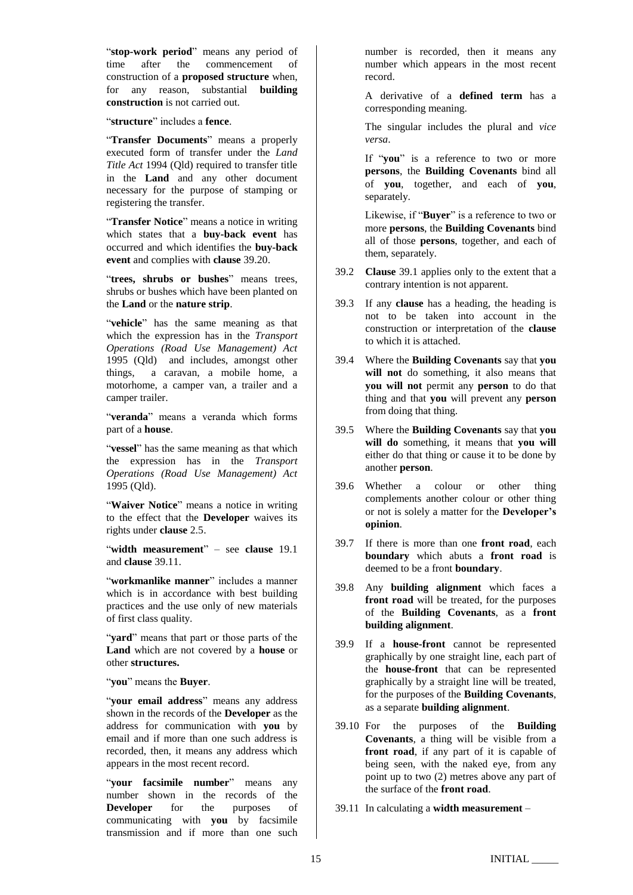"**stop-work period**" means any period of time after the commencement of time after the commencement of construction of a **proposed structure** when, for any reason, substantial **building construction** is not carried out.

"**structure**" includes a **fence**.

"**Transfer Documents**" means a properly executed form of transfer under the *Land Title Act* 1994 (Qld) required to transfer title in the **Land** and any other document necessary for the purpose of stamping or registering the transfer.

"**Transfer Notice**" means a notice in writing which states that a **buy-back event** has occurred and which identifies the **buy-back event** and complies with **clause** [39.20.](#page-15-1)

"**trees, shrubs or bushes**" means trees, shrubs or bushes which have been planted on the **Land** or the **nature strip**.

"**vehicle**" has the same meaning as that which the expression has in the *Transport Operations (Road Use Management) Act*  1995 (Qld) and includes, amongst other things, a caravan, a mobile home, a motorhome, a camper van, a trailer and a camper trailer.

"**veranda**" means a veranda which forms part of a **house**.

"**vessel**" has the same meaning as that which the expression has in the *Transport Operations (Road Use Management) Act*  1995 (Qld).

"Waiver Notice" means a notice in writing to the effect that the **Developer** waives its rights under **clause** [2.5.](#page-0-1)

"**width measurement**" – see **clause** [19.1](#page-5-1) and **clause** [39.11.](#page-14-1)

"**workmanlike manner**" includes a manner which is in accordance with best building practices and the use only of new materials of first class quality.

"**yard**" means that part or those parts of the **Land** which are not covered by a **house** or other **structures.**

"**you**" means the **Buyer**.

"**your email address**" means any address shown in the records of the **Developer** as the address for communication with **you** by email and if more than one such address is recorded, then, it means any address which appears in the most recent record.

"**your facsimile number**" means any number shown in the records of the **Developer** for the purposes of communicating with **you** by facsimile transmission and if more than one such

number is recorded, then it means any number which appears in the most recent record.

A derivative of a **defined term** has a corresponding meaning.

The singular includes the plural and *vice versa*.

If "**you**" is a reference to two or more **persons**, the **Building Covenants** bind all of **you**, together, and each of **you**, separately.

Likewise, if "**Buyer**" is a reference to two or more **persons**, the **Building Covenants** bind all of those **persons**, together, and each of them, separately.

- 39.2 **Clause** [39.1](#page-10-0) applies only to the extent that a contrary intention is not apparent.
- 39.3 If any **clause** has a heading, the heading is not to be taken into account in the construction or interpretation of the **clause**  to which it is attached.
- 39.4 Where the **Building Covenants** say that **you will not** do something, it also means that **you will not** permit any **person** to do that thing and that **you** will prevent any **person** from doing that thing.
- 39.5 Where the **Building Covenants** say that **you will do** something, it means that **you will** either do that thing or cause it to be done by another **person**.
- 39.6 Whether a colour or other thing complements another colour or other thing or not is solely a matter for the **Developer's opinion**.
- 39.7 If there is more than one **front road**, each **boundary** which abuts a **front road** is deemed to be a front **boundary**.
- <span id="page-14-0"></span>39.8 Any **building alignment** which faces a **front road** will be treated, for the purposes of the **Building Covenants**, as a **front building alignment**.
- 39.9 If a **house-front** cannot be represented graphically by one straight line, each part of the **house-front** that can be represented graphically by a straight line will be treated, for the purposes of the **Building Covenants**, as a separate **building alignment**.
- 39.10 For the purposes of the **Building Covenants**, a thing will be visible from a **front road**, if any part of it is capable of being seen, with the naked eye, from any point up to two (2) metres above any part of the surface of the **front road**.
- <span id="page-14-1"></span>39.11 In calculating a **width measurement** –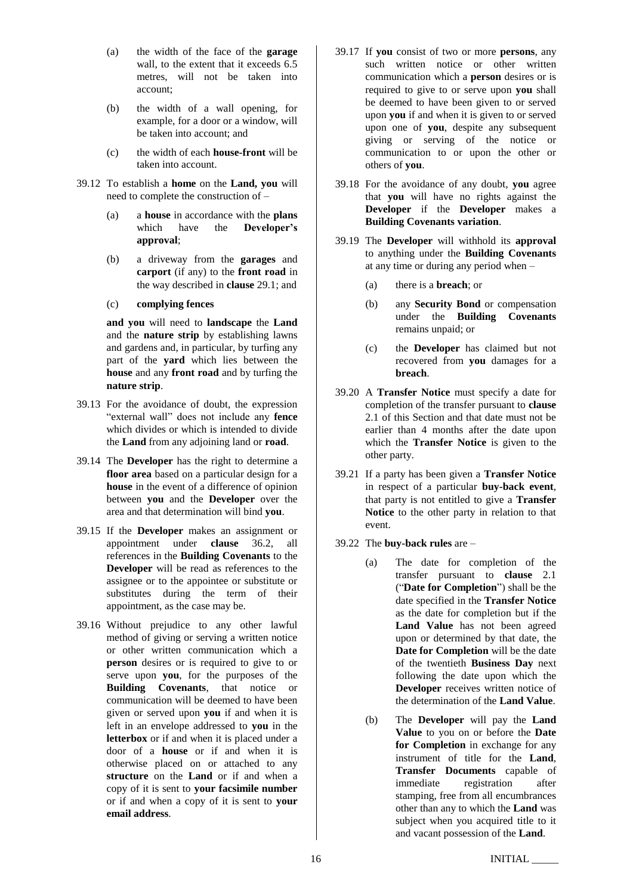- (a) the width of the face of the **garage** wall, to the extent that it exceeds 6.5 metres, will not be taken into account;
- (b) the width of a wall opening, for example, for a door or a window, will be taken into account; and
- (c) the width of each **house-front** will be taken into account.
- 39.12 To establish a **home** on the **Land, you** will need to complete the construction of –
	- (a) a **house** in accordance with the **plans**<br>which have the **Developer's Developer's approval**;
	- (b) a driveway from the **garages** and **carport** (if any) to the **front road** in the way described in **clause** [29.1;](#page-7-0) and
	- (c) **complying fences**

**and you** will need to **landscape** the **Land** and the **nature strip** by establishing lawns and gardens and, in particular, by turfing any part of the **yard** which lies between the **house** and any **front road** and by turfing the **nature strip**.

- 39.13 For the avoidance of doubt, the expression "external wall" does not include any **fence** which divides or which is intended to divide the **Land** from any adjoining land or **road**.
- 39.14 The **Developer** has the right to determine a **floor area** based on a particular design for a **house** in the event of a difference of opinion between **you** and the **Developer** over the area and that determination will bind **you**.
- 39.15 If the **Developer** makes an assignment or appointment under **clause** [36.2,](#page-8-1) all references in the **Building Covenants** to the **Developer** will be read as references to the assignee or to the appointee or substitute or substitutes during the term of their appointment, as the case may be.
- 39.16 Without prejudice to any other lawful method of giving or serving a written notice or other written communication which a **person** desires or is required to give to or serve upon **you**, for the purposes of the **Building Covenants**, that notice or communication will be deemed to have been given or served upon **you** if and when it is left in an envelope addressed to **you** in the **letterbox** or if and when it is placed under a door of a **house** or if and when it is otherwise placed on or attached to any **structure** on the **Land** or if and when a copy of it is sent to **your facsimile number**  or if and when a copy of it is sent to **your email address**.
- 39.17 If **you** consist of two or more **persons**, any such written notice or other written communication which a **person** desires or is required to give to or serve upon **you** shall be deemed to have been given to or served upon **you** if and when it is given to or served upon one of **you**, despite any subsequent giving or serving of the notice or communication to or upon the other or others of **you**.
- 39.18 For the avoidance of any doubt, **you** agree that **you** will have no rights against the **Developer** if the **Developer** makes a **Building Covenants variation**.
- 39.19 The **Developer** will withhold its **approval** to anything under the **Building Covenants** at any time or during any period when –
	- (a) there is a **breach**; or
	- (b) any **Security Bond** or compensation under the **Building Covenants** remains unpaid; or
	- (c) the **Developer** has claimed but not recovered from **you** damages for a **breach**.
- <span id="page-15-1"></span>39.20 A **Transfer Notice** must specify a date for completion of the transfer pursuant to **clause** [2.1](#page-0-0) of this Section and that date must not be earlier than 4 months after the date upon which the **Transfer Notice** is given to the other party.
- 39.21 If a party has been given a **Transfer Notice** in respect of a particular **buy-back event**, that party is not entitled to give a **Transfer Notice** to the other party in relation to that event.
- <span id="page-15-0"></span>39.22 The **buy-back rules** are –
	- (a) The date for completion of the transfer pursuant to **clause** [2.1](#page-0-0) ("**Date for Completion**") shall be the date specified in the **Transfer Notice** as the date for completion but if the **Land Value** has not been agreed upon or determined by that date, the **Date for Completion** will be the date of the twentieth **Business Day** next following the date upon which the **Developer** receives written notice of the determination of the **Land Value**.
	- (b) The **Developer** will pay the **Land Value** to you on or before the **Date for Completion** in exchange for any instrument of title for the **Land**, **Transfer Documents** capable of immediate registration after stamping, free from all encumbrances other than any to which the **Land** was subject when you acquired title to it and vacant possession of the **Land**.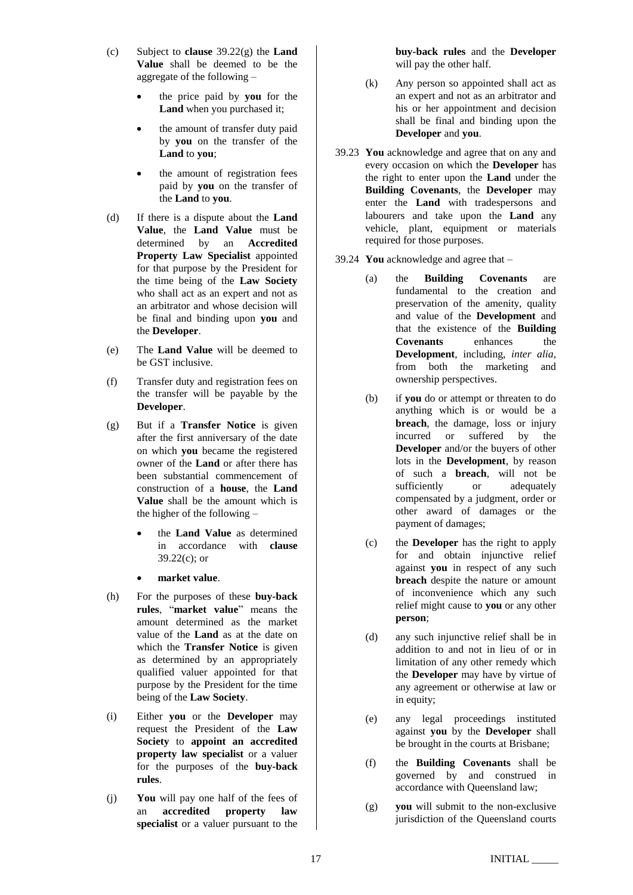- <span id="page-16-1"></span>(c) Subject to **clause** [39.22](#page-15-0)[\(g\)](#page-16-0) the **Land Value** shall be deemed to be the aggregate of the following –
	- the price paid by **you** for the **Land** when you purchased it;
	- the amount of transfer duty paid by **you** on the transfer of the **Land** to **you**;
	- the amount of registration fees paid by **you** on the transfer of the **Land** to **you**.
- (d) If there is a dispute about the **Land Value**, the **Land Value** must be determined by an **Accredited Property Law Specialist** appointed for that purpose by the President for the time being of the **Law Society** who shall act as an expert and not as an arbitrator and whose decision will be final and binding upon **you** and the **Developer**.
- (e) The **Land Value** will be deemed to be GST inclusive.
- (f) Transfer duty and registration fees on the transfer will be payable by the **Developer**.
- <span id="page-16-0"></span>(g) But if a **Transfer Notice** is given after the first anniversary of the date on which **you** became the registered owner of the **Land** or after there has been substantial commencement of construction of a **house**, the **Land Value** shall be the amount which is the higher of the following –
	- the **Land Value** as determined in accordance with **clause**  $39.22(c)$  $39.22(c)$ ; or
	- **market value**.
- (h) For the purposes of these **buy-back rules**, "**market value**" means the amount determined as the market value of the **Land** as at the date on which the **Transfer Notice** is given as determined by an appropriately qualified valuer appointed for that purpose by the President for the time being of the **Law Society**.
- (i) Either **you** or the **Developer** may request the President of the **Law Society** to **appoint an accredited property law specialist** or a valuer for the purposes of the **buy-back rules**.
- (j) **You** will pay one half of the fees of an **accredited property law specialist** or a valuer pursuant to the

**buy-back rules** and the **Developer** will pay the other half.

- (k) Any person so appointed shall act as an expert and not as an arbitrator and his or her appointment and decision shall be final and binding upon the **Developer** and **you**.
- 39.23 **You** acknowledge and agree that on any and every occasion on which the **Developer** has the right to enter upon the **Land** under the **Building Covenants**, the **Developer** may enter the **Land** with tradespersons and labourers and take upon the **Land** any vehicle, plant, equipment or materials required for those purposes.
- <span id="page-16-2"></span>39.24 **You** acknowledge and agree that –
	- (a) the **Building Covenants** are fundamental to the creation and preservation of the amenity, quality and value of the **Development** and that the existence of the **Building Covenants** enhances the **Development**, including, *inter alia*, from both the marketing and ownership perspectives.
	- (b) if **you** do or attempt or threaten to do anything which is or would be a **breach**, the damage, loss or injury incurred or suffered by the **Developer** and/or the buyers of other lots in the **Development**, by reason of such a **breach**, will not be sufficiently or adequately compensated by a judgment, order or other award of damages or the payment of damages;
	- (c) the **Developer** has the right to apply for and obtain injunctive relief against **you** in respect of any such **breach** despite the nature or amount of inconvenience which any such relief might cause to **you** or any other **person**;
	- (d) any such injunctive relief shall be in addition to and not in lieu of or in limitation of any other remedy which the **Developer** may have by virtue of any agreement or otherwise at law or in equity;
	- (e) any legal proceedings instituted against **you** by the **Developer** shall be brought in the courts at Brisbane;
	- (f) the **Building Covenants** shall be governed by and construed in accordance with Queensland law;
	- (g) **you** will submit to the non-exclusive jurisdiction of the Queensland courts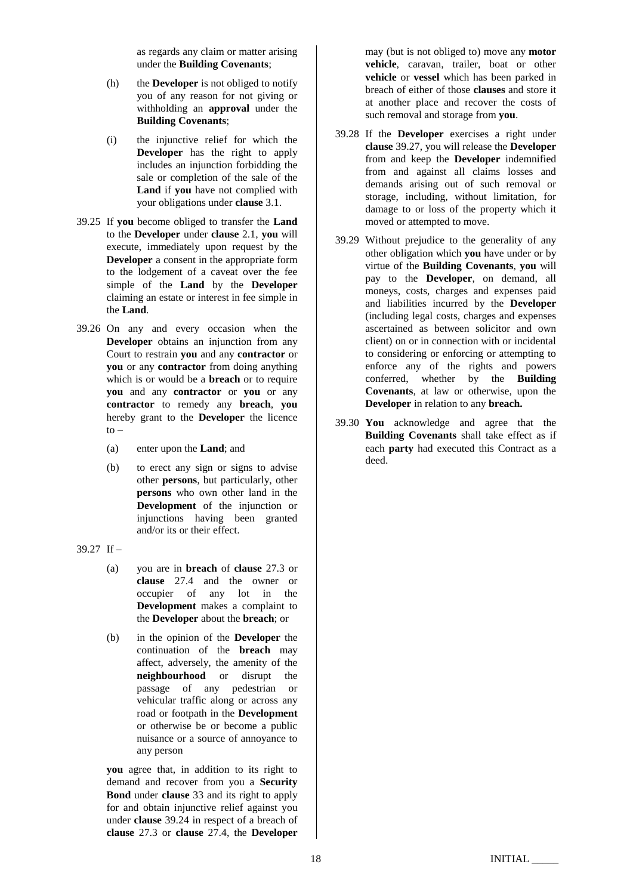as regards any claim or matter arising under the **Building Covenants**;

- (h) the **Developer** is not obliged to notify you of any reason for not giving or withholding an **approval** under the **Building Covenants**;
- (i) the injunctive relief for which the **Developer** has the right to apply includes an injunction forbidding the sale or completion of the sale of the **Land** if **you** have not complied with your obligations under **clause** [3.1.](#page-0-2)
- 39.25 If **you** become obliged to transfer the **Land** to the **Developer** under **clause** [2.1,](#page-0-0) **you** will execute, immediately upon request by the **Developer** a consent in the appropriate form to the lodgement of a caveat over the fee simple of the **Land** by the **Developer** claiming an estate or interest in fee simple in the **Land**.
- 39.26 On any and every occasion when the **Developer** obtains an injunction from any Court to restrain **you** and any **contractor** or **you** or any **contractor** from doing anything which is or would be a **breach** or to require **you** and any **contractor** or **you** or any **contractor** to remedy any **breach**, **you**  hereby grant to the **Developer** the licence to –
	- (a) enter upon the **Land**; and
	- (b) to erect any sign or signs to advise other **persons**, but particularly, other **persons** who own other land in the **Development** of the injunction or injunctions having been granted and/or its or their effect.

<span id="page-17-0"></span>39.27 If –

- (a) you are in **breach** of **clause** [27.3](#page-6-2) or **clause** [27.4](#page-6-3) and the owner or occupier of any lot in the **Development** makes a complaint to the **Developer** about the **breach**; or
- (b) in the opinion of the **Developer** the continuation of the **breach** may affect, adversely, the amenity of the **neighbourhood** or disrupt the passage of any pedestrian or vehicular traffic along or across any road or footpath in the **Development** or otherwise be or become a public nuisance or a source of annoyance to any person

**you** agree that, in addition to its right to demand and recover from you a **Security Bond** under **clause** [33](#page-7-4) and its right to apply for and obtain injunctive relief against you under **clause** [39.24](#page-16-2) in respect of a breach of **clause** [27.3](#page-6-2) or **clause** [27.4,](#page-6-3) the **Developer**

may (but is not obliged to) move any **motor vehicle**, caravan, trailer, boat or other **vehicle** or **vessel** which has been parked in breach of either of those **clauses** and store it at another place and recover the costs of such removal and storage from **you**.

- 39.28 If the **Developer** exercises a right under **clause** [39.27,](#page-17-0) you will release the **Developer** from and keep the **Developer** indemnified from and against all claims losses and demands arising out of such removal or storage, including, without limitation, for damage to or loss of the property which it moved or attempted to move.
- 39.29 Without prejudice to the generality of any other obligation which **you** have under or by virtue of the **Building Covenants**, **you** will pay to the **Developer**, on demand, all moneys, costs, charges and expenses paid and liabilities incurred by the **Developer** (including legal costs, charges and expenses ascertained as between solicitor and own client) on or in connection with or incidental to considering or enforcing or attempting to enforce any of the rights and powers conferred, whether by the **Building Covenants**, at law or otherwise, upon the **Developer** in relation to any **breach.**
- 39.30 **You** acknowledge and agree that the **Building Covenants** shall take effect as if each **party** had executed this Contract as a deed.